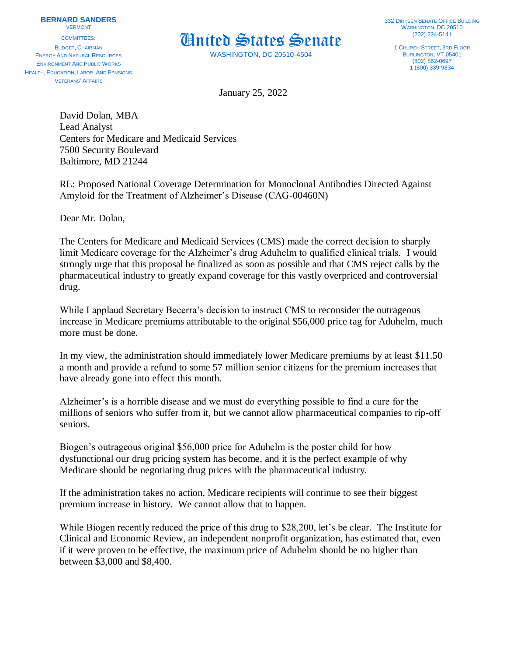COMMITTEES: BUDGET, CHAIRMAN ENERGY AND NATURAL RESOURCES ENVIRONMENT AND PUBLIC WORKS HEALTH, EDUCATION, LABOR, AND PENSIONS VETERANS' AFFAIRS



WASHINGTON, DC 20510-4504

**332 DIRKSEN SENATE OFFICE BUILDING** WASHINGTON, DC 20510 (202) 224-5141

1 CHURCH STREET, 3RD FLOOR BURLINGTON, VT 05401 (802) 862-0697 1 (800) 339-9834

January 25, 2022

David Dolan, MBA Lead Analyst Centers for Medicare and Medicaid Services 7500 Security Boulevard Baltimore, MD 21244

RE: Proposed National Coverage Determination for Monoclonal Antibodies Directed Against Amyloid for the Treatment of Alzheimer's Disease (CAG-00460N)

Dear Mr. Dolan,

The Centers for Medicare and Medicaid Services (CMS) made the correct decision to sharply limit Medicare coverage for the Alzheimer's drug Aduhelm to qualified clinical trials. I would strongly urge that this proposal be finalized as soon as possible and that CMS reject calls by the pharmaceutical industry to greatly expand coverage for this vastly overpriced and controversial drug.

While I applaud Secretary Becerra's decision to instruct CMS to reconsider the outrageous increase in Medicare premiums attributable to the original \$56,000 price tag for Aduhelm, much more must be done.

In my view, the administration should immediately lower Medicare premiums by at least \$11.50 a month and provide a refund to some 57 million senior citizens for the premium increases that have already gone into effect this month.

Alzheimer's is a horrible disease and we must do everything possible to find a cure for the millions of seniors who suffer from it, but we cannot allow pharmaceutical companies to rip-off seniors.

Biogen's outrageous original \$56,000 price for Aduhelm is the poster child for how dysfunctional our drug pricing system has become, and it is the perfect example of why Medicare should be negotiating drug prices with the pharmaceutical industry.

If the administration takes no action, Medicare recipients will continue to see their biggest premium increase in history. We cannot allow that to happen.

While Biogen recently reduced the price of this drug to \$28,200, let's be clear. The Institute for Clinical and Economic Review, an independent nonprofit organization, has estimated that, even if it were proven to be effective, the maximum price of Aduhelm should be no higher than between \$3,000 and \$8,400.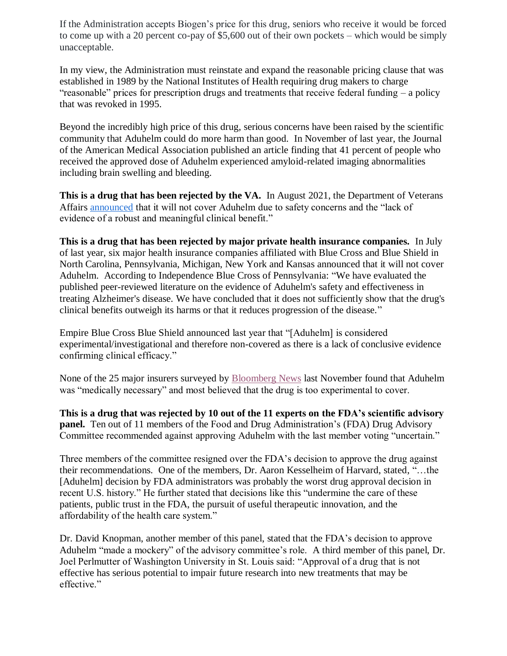If the Administration accepts Biogen's price for this drug, seniors who receive it would be forced to come up with a 20 percent co-pay of \$5,600 out of their own pockets – which would be simply unacceptable.

In my view, the Administration must reinstate and expand the reasonable pricing clause that was established in 1989 by the National Institutes of Health requiring drug makers to charge "reasonable" prices for prescription drugs and treatments that receive federal funding – a policy that was revoked in 1995.

Beyond the incredibly high price of this drug, serious concerns have been raised by the scientific community that Aduhelm could do more harm than good. In November of last year, the Journal of the American Medical Association published an article finding that 41 percent of people who received the approved dose of Aduhelm experienced amyloid-related imaging abnormalities including brain swelling and bleeding.

**This is a drug that has been rejected by the VA.** In August 2021, the Department of Veterans Affairs [announced](https://www.statnews.com/pharmalot/2021/08/11/alzheimers-aduhelm-drug-veterans-affairs/) that it will not cover Aduhelm due to safety concerns and the "lack of evidence of a robust and meaningful clinical benefit."

**This is a drug that has been rejected by major private health insurance companies.** In July of last year, six major health insurance companies affiliated with Blue Cross and Blue Shield in North Carolina, Pennsylvania, Michigan, New York and Kansas announced that it will not cover Aduhelm. According to Independence Blue Cross of Pennsylvania: "We have evaluated the published peer-reviewed literature on the evidence of Aduhelm's safety and effectiveness in treating Alzheimer's disease. We have concluded that it does not sufficiently show that the drug's clinical benefits outweigh its harms or that it reduces progression of the disease."

Empire Blue Cross Blue Shield announced last year that "[Aduhelm] is considered experimental/investigational and therefore non-covered as there is a lack of conclusive evidence confirming clinical efficacy."

None of the 25 major insurers surveyed by [Bloomberg News](https://www.bloomberg.com/news/articles/2021-11-18/insurers-balk-at-paying-for-biogen-alzheimer-s-treatment) last November found that Aduhelm was "medically necessary" and most believed that the drug is too experimental to cover.

**This is a drug that was rejected by 10 out of the 11 experts on the FDA's scientific advisory panel.** Ten out of 11 members of the Food and Drug Administration's (FDA) Drug Advisory Committee recommended against approving Aduhelm with the last member voting "uncertain."

Three members of the committee resigned over the FDA's decision to approve the drug against their recommendations. One of the members, Dr. Aaron Kesselheim of Harvard, stated, "…the [Aduhelm] decision by FDA administrators was probably the worst drug approval decision in recent U.S. history." He further stated that decisions like this "undermine the care of these patients, public trust in the FDA, the pursuit of useful therapeutic innovation, and the affordability of the health care system."

Dr. David Knopman, another member of this panel, stated that the FDA's decision to approve Aduhelm "made a mockery" of the advisory committee's role. A third member of this panel, Dr. Joel Perlmutter of Washington University in St. Louis said: "Approval of a drug that is not effective has serious potential to impair future research into new treatments that may be effective."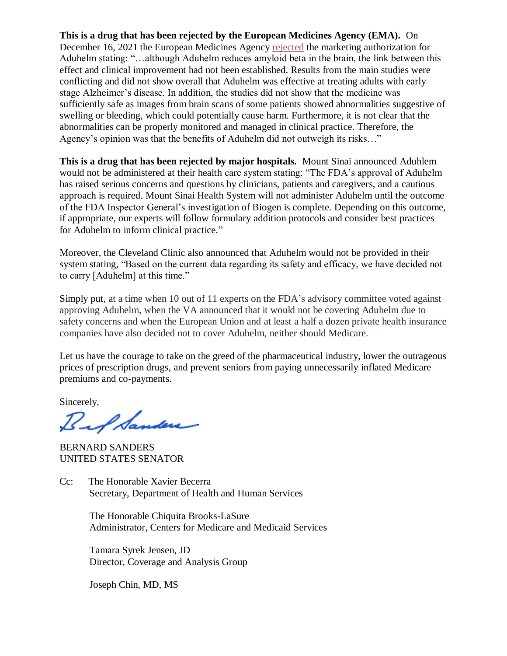**This is a drug that has been rejected by the European Medicines Agency (EMA).** On December 16, 2021 the European Medicines Agency [rejected](https://www.ema.europa.eu/en/medicines/human/summaries-opinion/aduhelm) the marketing authorization for Aduhelm stating: "…although Aduhelm reduces amyloid beta in the brain, the link between this effect and clinical improvement had not been established. Results from the main studies were conflicting and did not show overall that Aduhelm was effective at treating adults with early stage Alzheimer's disease. In addition, the studies did not show that the medicine was sufficiently safe as images from brain scans of some patients showed abnormalities suggestive of swelling or bleeding, which could potentially cause harm. Furthermore, it is not clear that the abnormalities can be properly monitored and managed in clinical practice. Therefore, the Agency's opinion was that the benefits of Aduhelm did not outweigh its risks…"

**This is a drug that has been rejected by major hospitals.** Mount Sinai announced Aduhlem would not be administered at their health care system stating: "The FDA's approval of Aduhelm has raised serious concerns and questions by clinicians, patients and caregivers, and a cautious approach is required. Mount Sinai Health System will not administer Aduhelm until the outcome of the FDA Inspector General's investigation of Biogen is complete. Depending on this outcome, if appropriate, our experts will follow formulary addition protocols and consider best practices for Aduhelm to inform clinical practice."

Moreover, the Cleveland Clinic also announced that Aduhelm would not be provided in their system stating, "Based on the current data regarding its safety and efficacy, we have decided not to carry [Aduhelm] at this time."

Simply put, at a time when 10 out of 11 experts on the FDA's advisory committee voted against approving Aduhelm, when the VA announced that it would not be covering Aduhelm due to safety concerns and when the European Union and at least a half a dozen private health insurance companies have also decided not to cover Aduhelm, neither should Medicare.

Let us have the courage to take on the greed of the pharmaceutical industry, lower the outrageous prices of prescription drugs, and prevent seniors from paying unnecessarily inflated Medicare premiums and co-payments.

Sincerely,

Butta

BERNARD SANDERS UNITED STATES SENATOR

Cc: The Honorable Xavier Becerra Secretary, Department of Health and Human Services

> The Honorable Chiquita Brooks-LaSure Administrator, Centers for Medicare and Medicaid Services

Tamara Syrek Jensen, JD Director, Coverage and Analysis Group

Joseph Chin, MD, MS